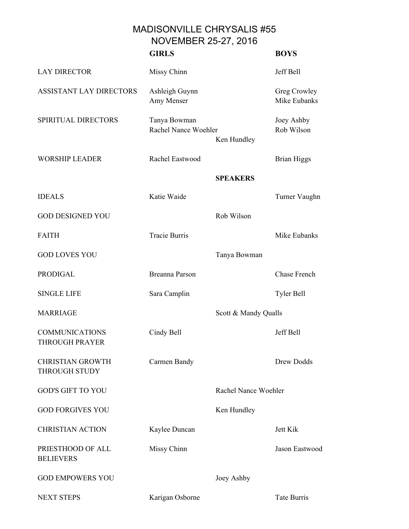## MADISONVILLE CHRYSALIS #55 NOVEMBER 25-27, 2016

|                                                 | <b>GIRLS</b>                         |                      | <b>BOYS</b>                  |
|-------------------------------------------------|--------------------------------------|----------------------|------------------------------|
| <b>LAY DIRECTOR</b>                             | Missy Chinn                          |                      | Jeff Bell                    |
| <b>ASSISTANT LAY DIRECTORS</b>                  | Ashleigh Guynn<br>Amy Menser         |                      | Greg Crowley<br>Mike Eubanks |
| SPIRITUAL DIRECTORS                             | Tanya Bowman<br>Rachel Nance Woehler | Ken Hundley          | Joey Ashby<br>Rob Wilson     |
| <b>WORSHIP LEADER</b>                           | Rachel Eastwood                      |                      | <b>Brian Higgs</b>           |
|                                                 |                                      | <b>SPEAKERS</b>      |                              |
| <b>IDEALS</b>                                   | Katie Waide                          |                      | Turner Vaughn                |
| <b>GOD DESIGNED YOU</b>                         |                                      | Rob Wilson           |                              |
| <b>FAITH</b>                                    | <b>Tracie Burris</b>                 |                      | Mike Eubanks                 |
| <b>GOD LOVES YOU</b>                            |                                      | Tanya Bowman         |                              |
| <b>PRODIGAL</b>                                 | <b>Breanna Parson</b>                |                      | Chase French                 |
| <b>SINGLE LIFE</b>                              | Sara Camplin                         |                      | Tyler Bell                   |
| <b>MARRIAGE</b>                                 |                                      | Scott & Mandy Qualls |                              |
| <b>COMMUNICATIONS</b><br><b>THROUGH PRAYER</b>  | Cindy Bell                           |                      | Jeff Bell                    |
| <b>CHRISTIAN GROWTH</b><br><b>THROUGH STUDY</b> | Carmen Bandy                         |                      | <b>Drew Dodds</b>            |
| <b>GOD'S GIFT TO YOU</b>                        |                                      | Rachel Nance Woehler |                              |
| <b>GOD FORGIVES YOU</b>                         |                                      | Ken Hundley          |                              |
| <b>CHRISTIAN ACTION</b>                         | Kaylee Duncan                        |                      | Jett Kik                     |
| PRIESTHOOD OF ALL<br><b>BELIEVERS</b>           | Missy Chinn                          |                      | Jason Eastwood               |
| <b>GOD EMPOWERS YOU</b>                         |                                      | Joey Ashby           |                              |
| <b>NEXT STEPS</b>                               | Karigan Osborne                      |                      | Tate Burris                  |